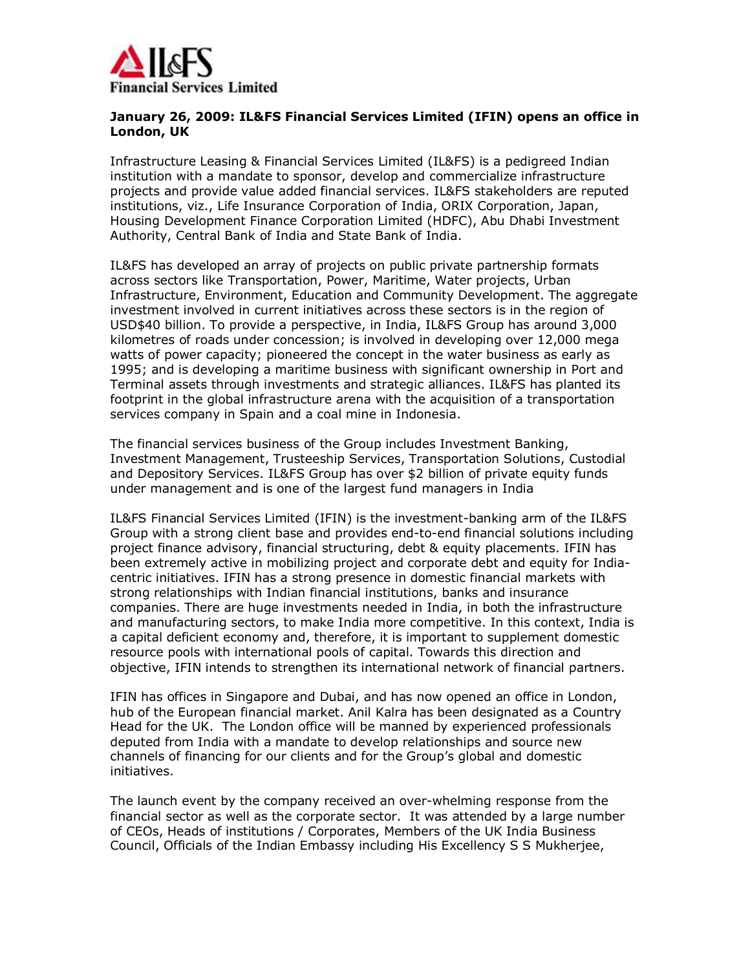

## **January 26, 2009: IL&FS Financial Services Limited (IFIN) opens an office in London, UK**

Infrastructure Leasing & Financial Services Limited (IL&FS) is a pedigreed Indian institution with a mandate to sponsor, develop and commercialize infrastructure projects and provide value added financial services. IL&FS stakeholders are reputed institutions, viz., Life Insurance Corporation of India, ORIX Corporation, Japan, Housing Development Finance Corporation Limited (HDFC), Abu Dhabi Investment Authority, Central Bank of India and State Bank of India.

IL&FS has developed an array of projects on public private partnership formats across sectors like Transportation, Power, Maritime, Water projects, Urban Infrastructure, Environment, Education and Community Development. The aggregate investment involved in current initiatives across these sectors is in the region of USD\$40 billion. To provide a perspective, in India, IL&FS Group has around 3,000 kilometres of roads under concession; is involved in developing over 12,000 mega watts of power capacity; pioneered the concept in the water business as early as 1995; and is developing a maritime business with significant ownership in Port and Terminal assets through investments and strategic alliances. IL&FS has planted its footprint in the global infrastructure arena with the acquisition of a transportation services company in Spain and a coal mine in Indonesia.

The financial services business of the Group includes Investment Banking, Investment Management, Trusteeship Services, Transportation Solutions, Custodial and Depository Services. IL&FS Group has over \$2 billion of private equity funds under management and is one of the largest fund managers in India

IL&FS Financial Services Limited (IFIN) is the investment-banking arm of the IL&FS Group with a strong client base and provides end-to-end financial solutions including project finance advisory, financial structuring, debt & equity placements. IFIN has been extremely active in mobilizing project and corporate debt and equity for Indiacentric initiatives. IFIN has a strong presence in domestic financial markets with strong relationships with Indian financial institutions, banks and insurance companies. There are huge investments needed in India, in both the infrastructure and manufacturing sectors, to make India more competitive. In this context, India is a capital deficient economy and, therefore, it is important to supplement domestic resource pools with international pools of capital. Towards this direction and objective, IFIN intends to strengthen its international network of financial partners.

IFIN has offices in Singapore and Dubai, and has now opened an office in London, hub of the European financial market. Anil Kalra has been designated as a Country Head for the UK. The London office will be manned by experienced professionals deputed from India with a mandate to develop relationships and source new channels of financing for our clients and for the Group's global and domestic initiatives.

The launch event by the company received an over-whelming response from the financial sector as well as the corporate sector. It was attended by a large number of CEOs, Heads of institutions / Corporates, Members of the UK India Business Council, Officials of the Indian Embassy including His Excellency S S Mukherjee,